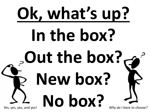# **Ok, what's up? In the box? Out the box? New box?** Yes, yes, yes, and yes! **No box?** *Why do I have to choose?*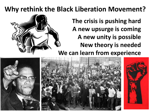#### **Why rethink the Black Liberation Movement?**

**The crisis is pushing hard A new upsurge is coming A new unity is possible New theory is needed We can learn from experience**



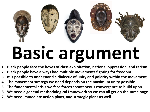

## **Basic argument**

- **1. Black people face the boxes of class exploitation, national oppression, and racism**
- **2. Black people have always had multiple movements fighting for freedom.**
- **3. It is possible to understand a dialectic of unity and polarity within the movement**
- **4. The movement strategy we need depends on the maximum unity possible**
- **5. The fundamental crisis we face forces spontaneous convergence to build upon**
- **6. We need a general methodological framework so we can all get on the same page**
- **7. We need immediate action plans, and strategic plans as well**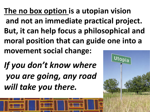**The no box option is a utopian vision and not an immediate practical project. But, it can help focus a philosophical and moral position that can guide one into a movement social change:**

*If you don't know where you are going, any road will take you there.*

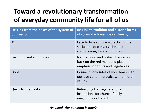#### **Toward a revolutionary transformation of everyday community life for all of us**

| De-Link from the boxes of the system of<br>oppression | <b>Re-Link to tradition and historic forms</b><br>of survival – boxes we can live by                         |
|-------------------------------------------------------|--------------------------------------------------------------------------------------------------------------|
| <b>TV</b>                                             | Face to face culture $-$ practicing the<br>social arts of conversation and<br>compromise, logic and humor    |
| <b>Fast food and soft drinks</b>                      | Natural food and water -basically cut<br>back on the red meat and place<br>emphasis on fruits and vegetables |
| Dope                                                  | Connect both sides of your brain with<br>positive cultural practices, and moral<br>values                    |
| <b>Quick fix mentality</b>                            | Rebuilding trans-generational<br>institutions for church, family,<br>neighborhood, and fun                   |

*As usual, the question is how?*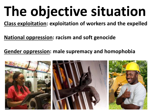## **The objective situation**

**Class exploitation: exploitation of workers and the expelled**

**National oppression: racism and soft genocide**

**Gender oppression: male supremacy and homophobia**

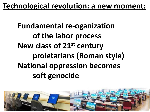#### **Technological revolution: a new moment:**

**Fundamental re-oganization of the labor process New class of 21st century proletarians (Roman style) National oppression becomes soft genocide**

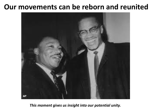#### **Our movements can be reborn and reunited**



*This moment gives us insight into our potential unity.*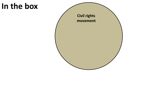#### **In the box**

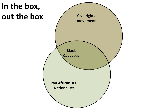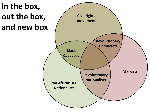

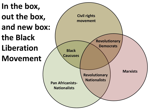

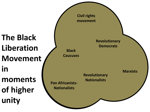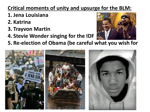#### **Critical moments of unity and upsurge for the BLM:**

- **1. Jena Louisiana**
- **2. Katrina**
- **3. Trayvon Martin**
- **4. Stevie Wonder singing for the IDF**



**5. Re-election of Obama (be careful what you wish for**

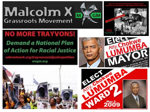### **Malcolm X Grassroots Movement**



#### **NO MORE TRAYVONS! Demand a National Plan** of Action for Racial Justice

ushmetwork.org/trayvonracialjusticepetition mxam.org







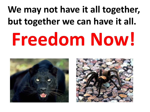### **We may not have it all together, but together we can have it all. Freedom Now!**